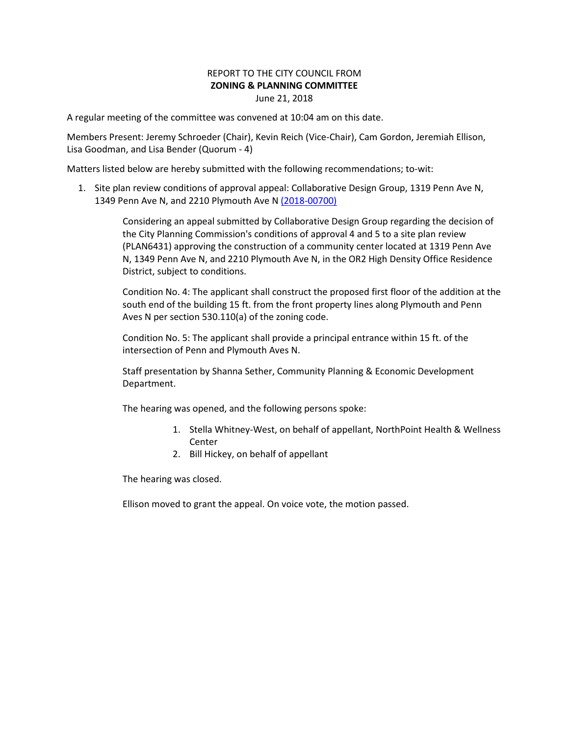## REPORT TO THE CITY COUNCIL FROM **ZONING & PLANNING COMMITTEE** June 21, 2018

A regular meeting of the committee was convened at 10:04 am on this date.

Members Present: Jeremy Schroeder (Chair), Kevin Reich (Vice-Chair), Cam Gordon, Jeremiah Ellison, Lisa Goodman, and Lisa Bender (Quorum - 4)

Matters listed below are hereby submitted with the following recommendations; to-wit:

1. Site plan review conditions of approval appeal: Collaborative Design Group, 1319 Penn Ave N, 1349 Penn Ave N, and 2210 Plymouth Ave N [\(2018-00700\)](https://lims.minneapolismn.gov/File/2018-00700)

> Considering an appeal submitted by Collaborative Design Group regarding the decision of the City Planning Commission's conditions of approval 4 and 5 to a site plan review (PLAN6431) approving the construction of a community center located at 1319 Penn Ave N, 1349 Penn Ave N, and 2210 Plymouth Ave N, in the OR2 High Density Office Residence District, subject to conditions.

Condition No. 4: The applicant shall construct the proposed first floor of the addition at the south end of the building 15 ft. from the front property lines along Plymouth and Penn Aves N per section 530.110(a) of the zoning code.

Condition No. 5: The applicant shall provide a principal entrance within 15 ft. of the intersection of Penn and Plymouth Aves N.

Staff presentation by Shanna Sether, Community Planning & Economic Development Department.

The hearing was opened, and the following persons spoke:

- 1. Stella Whitney-West, on behalf of appellant, NorthPoint Health & Wellness Center
- 2. Bill Hickey, on behalf of appellant

The hearing was closed.

Ellison moved to grant the appeal. On voice vote, the motion passed.